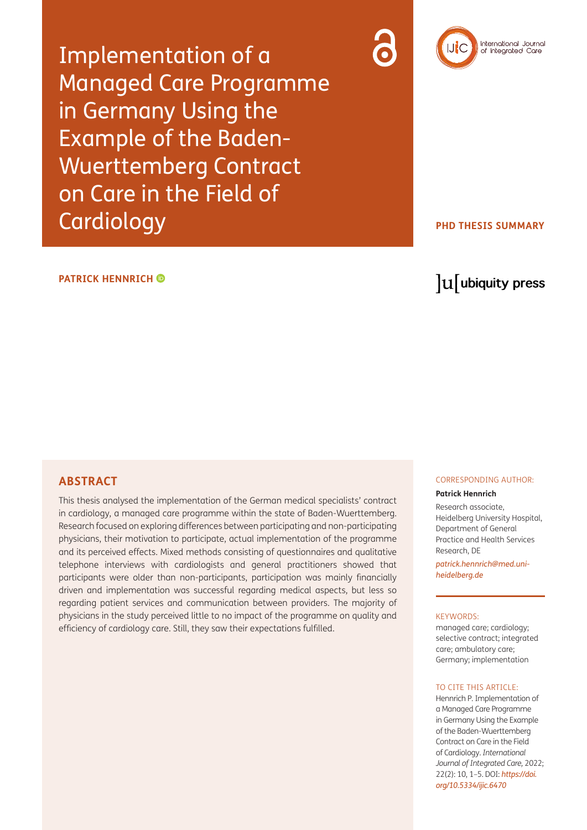Implementation of a Managed Care Programme in Germany Using the Example of the Baden-Wuerttemberg Contract on Care in the Field of **Cardiology** 

# International Journal<br>of Integrated Care

## **PHD THESIS SUMMARY**

#### **PATRICKHENNRICH**<sup> $\bullet$ </sup>

## lu ubiquity press

#### **ABSTRACT**

This thesis analysed the implementation of the German medical specialists' contract in cardiology, a managed care programme within the state of Baden-Wuerttemberg. Research focused on exploring differences between participating and non-participating physicians, their motivation to participate, actual implementation of the programme and its perceived effects. Mixed methods consisting of questionnaires and qualitative telephone interviews with cardiologists and general practitioners showed that participants were older than non-participants, participation was mainly financially driven and implementation was successful regarding medical aspects, but less so regarding patient services and communication between providers. The majority of physicians in the study perceived little to no impact of the programme on quality and efficiency of cardiology care. Still, they saw their expectations fulfilled.

#### CORRESPONDING AUTHOR:

#### **Patrick Hennrich**

Research associate, Heidelberg University Hospital, Department of General Practice and Health Services Research, DE

*[patrick.hennrich@med.uni](mailto:patrick.hennrich@med.uni-heidelberg.de)[heidelberg.de](mailto:patrick.hennrich@med.uni-heidelberg.de)*

#### KEYWORDS:

managed care; cardiology; selective contract; integrated care; ambulatory care; Germany; implementation

#### TO CITE THIS ARTICLE:

Hennrich P. Implementation of a Managed Care Programme in Germany Using the Example of the Baden-Wuerttemberg Contract on Care in the Field of Cardiology. *International Journal of Integrated Care,* 2022; 22(2): 10, 1–5. DOI: *[https://doi.](https://doi.org/10.5334/ijic.6470) [org/10.5334/ijic.6470](https://doi.org/10.5334/ijic.6470)*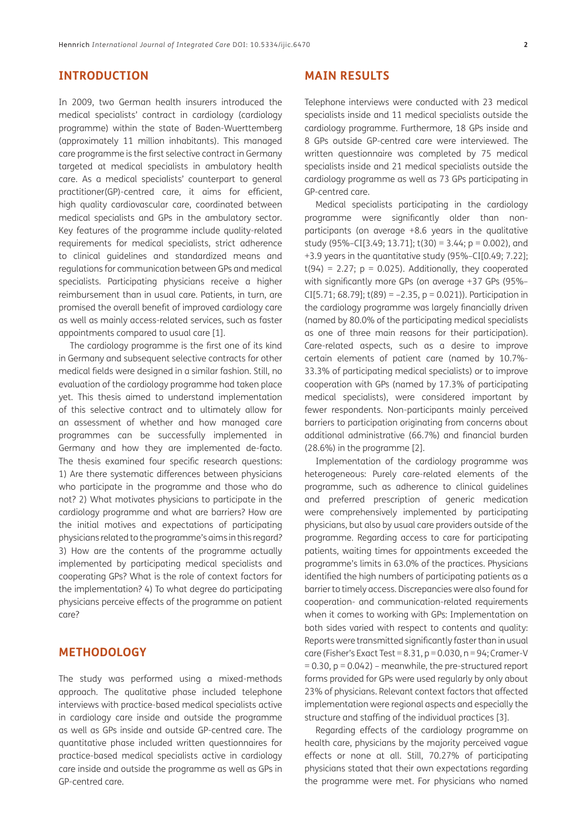## **INTRODUCTION**

In 2009, two German health insurers introduced the medical specialists' contract in cardiology (cardiology programme) within the state of Baden-Wuerttemberg (approximately 11 million inhabitants). This managed care programme is the first selective contract in Germany targeted at medical specialists in ambulatory health care. As a medical specialists' counterpart to general practitioner(GP)-centred care, it aims for efficient, high quality cardiovascular care, coordinated between medical specialists and GPs in the ambulatory sector. Key features of the programme include quality-related requirements for medical specialists, strict adherence to clinical guidelines and standardized means and regulations for communication between GPs and medical specialists. Participating physicians receive a higher reimbursement than in usual care. Patients, in turn, are promised the overall benefit of improved cardiology care as well as mainly access-related services, such as faster appointments compared to usual care [1].

The cardiology programme is the first one of its kind in Germany and subsequent selective contracts for other medical fields were designed in a similar fashion. Still, no evaluation of the cardiology programme had taken place yet. This thesis aimed to understand implementation of this selective contract and to ultimately allow for an assessment of whether and how managed care programmes can be successfully implemented in Germany and how they are implemented de-facto. The thesis examined four specific research questions: 1) Are there systematic differences between physicians who participate in the programme and those who do not? 2) What motivates physicians to participate in the cardiology programme and what are barriers? How are the initial motives and expectations of participating physicians related to the programme's aims in this regard? 3) How are the contents of the programme actually implemented by participating medical specialists and cooperating GPs? What is the role of context factors for the implementation? 4) To what degree do participating physicians perceive effects of the programme on patient care?

## **METHODOLOGY**

The study was performed using a mixed-methods approach. The qualitative phase included telephone interviews with practice-based medical specialists active in cardiology care inside and outside the programme as well as GPs inside and outside GP-centred care. The quantitative phase included written questionnaires for practice-based medical specialists active in cardiology care inside and outside the programme as well as GPs in GP-centred care.

## **MAIN RESULTS**

Telephone interviews were conducted with 23 medical specialists inside and 11 medical specialists outside the cardiology programme. Furthermore, 18 GPs inside and 8 GPs outside GP-centred care were interviewed. The written questionnaire was completed by 75 medical specialists inside and 21 medical specialists outside the cardiology programme as well as 73 GPs participating in GP-centred care.

Medical specialists participating in the cardiology programme were significantly older than nonparticipants (on average +8.6 years in the qualitative study (95%–CI[3.49; 13.71];  $t(30) = 3.44$ ;  $p = 0.002$ ), and +3.9 years in the quantitative study (95%–CI[0.49; 7.22];  $t(94) = 2.27$ ;  $p = 0.025$ ). Additionally, they cooperated with significantly more GPs (on average +37 GPs (95%– CI[5.71; 68.79];  $t(89) = -2.35$ ,  $p = 0.021$ )). Participation in the cardiology programme was largely financially driven (named by 80.0% of the participating medical specialists as one of three main reasons for their participation). Care-related aspects, such as a desire to improve certain elements of patient care (named by 10.7%- 33.3% of participating medical specialists) or to improve cooperation with GPs (named by 17.3% of participating medical specialists), were considered important by fewer respondents. Non-participants mainly perceived barriers to participation originating from concerns about additional administrative (66.7%) and financial burden (28.6%) in the programme [[2\]](#page-3-0).

Implementation of the cardiology programme was heterogeneous: Purely care-related elements of the programme, such as adherence to clinical guidelines and preferred prescription of generic medication were comprehensively implemented by participating physicians, but also by usual care providers outside of the programme. Regarding access to care for participating patients, waiting times for appointments exceeded the programme's limits in 63.0% of the practices. Physicians identified the high numbers of participating patients as a barrier to timely access. Discrepancies were also found for cooperation- and communication-related requirements when it comes to working with GPs: Implementation on both sides varied with respect to contents and quality: Reports were transmitted significantly faster than in usual care (Fisher's Exact Test =  $8.31$ ,  $p = 0.030$ ,  $n = 94$ ; Cramer-V  $= 0.30$ ,  $p = 0.042$ ) – meanwhile, the pre-structured report forms provided for GPs were used regularly by only about 23% of physicians. Relevant context factors that affected implementation were regional aspects and especially the structure and staffing of the individual practices [\[3](#page-3-1)].

Regarding effects of the cardiology programme on health care, physicians by the majority perceived vague effects or none at all. Still, 70.27% of participating physicians stated that their own expectations regarding the programme were met. For physicians who named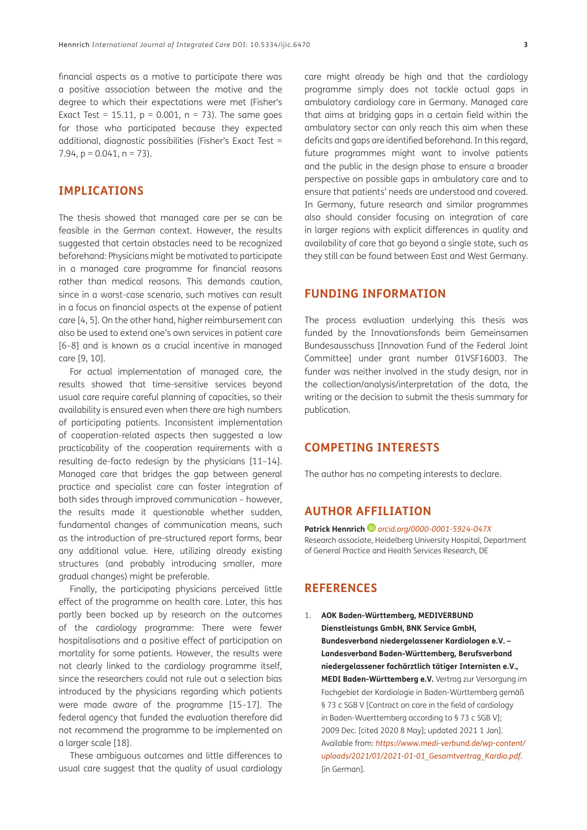financial aspects as a motive to participate there was a positive association between the motive and the degree to which their expectations were met (Fisher's Exact Test = 15.11,  $p = 0.001$ ,  $n = 73$ ). The same goes for those who participated because they expected additional, diagnostic possibilities (Fisher's Exact Test =  $7.94$ ,  $p = 0.041$ ,  $n = 73$ ).

## **IMPLICATIONS**

The thesis showed that managed care per se can be feasible in the German context. However, the results suggested that certain obstacles need to be recognized beforehand: Physicians might be motivated to participate in a managed care programme for financial reasons rather than medical reasons. This demands caution, since in a worst-case scenario, such motives can result in a focus on financial aspects at the expense of patient care [[4,](#page-3-2) 5]. On the other hand, higher reimbursement can also be used to extend one's own services in patient care [\[6–](#page-3-3)[8](#page-3-4)] and is known as a crucial incentive in managed care [[9](#page-3-5), [10\]](#page-3-6).

For actual implementation of managed care, the results showed that time-sensitive services beyond usual care require careful planning of capacities, so their availability is ensured even when there are high numbers of participating patients. Inconsistent implementation of cooperation-related aspects then suggested a low practicability of the cooperation requirements with a resulting de-facto redesign by the physicians [[11](#page-3-7)–[14](#page-3-8)]. Managed care that bridges the gap between general practice and specialist care can foster integration of both sides through improved communication – however, the results made it questionable whether sudden, fundamental changes of communication means, such as the introduction of pre-structured report forms, bear any additional value. Here, utilizing already existing structures (and probably introducing smaller, more gradual changes) might be preferable.

Finally, the participating physicians perceived little effect of the programme on health care. Later, this has partly been backed up by research on the outcomes of the cardiology programme: There were fewer hospitalisations and a positive effect of participation on mortality for some patients. However, the results were not clearly linked to the cardiology programme itself, since the researchers could not rule out a selection bias introduced by the physicians regarding which patients were made aware of the programme [\[15–](#page-3-9)17]. The federal agency that funded the evaluation therefore did not recommend the programme to be implemented on a larger scale [\[18](#page-3-10)].

These ambiguous outcomes and little differences to usual care suggest that the quality of usual cardiology

care might already be high and that the cardiology programme simply does not tackle actual gaps in ambulatory cardiology care in Germany. Managed care that aims at bridging gaps in a certain field within the ambulatory sector can only reach this aim when these deficits and gaps are identified beforehand. In this regard, future programmes might want to involve patients and the public in the design phase to ensure a broader perspective on possible gaps in ambulatory care and to ensure that patients' needs are understood and covered. In Germany, future research and similar programmes also should consider focusing on integration of care in larger regions with explicit differences in quality and availability of care that go beyond a single state, such as they still can be found between East and West Germany.

#### **FUNDING INFORMATION**

The process evaluation underlying this thesis was funded by the Innovationsfonds beim Gemeinsamen Bundesausschuss [Innovation Fund of the Federal Joint Committee] under grant number 01VSF16003. The funder was neither involved in the study design, nor in the collection/analysis/interpretation of the data, the writing or the decision to submit the thesis summary for publication.

## **COMPETING INTERESTS**

The author has no competing interests to declare.

#### **AUTHOR AFFILIATION**

**Patrick Hennrich***[orcid.org/0000-0001-5924-047X](https://orcid.org/0000-0001-5924-047X)* Research associate, Heidelberg University Hospital, Department of General Practice and Health Services Research, DE

#### **REFERENCES**

1. **AOK Baden-Württemberg, MEDIVERBUND Dienstleistungs GmbH, BNK Service GmbH, Bundesverband niedergelassener Kardiologen e.V. – Landesverband Baden-Württemberg, Berufsverband niedergelassener fachärztlich tätiger Internisten e.V., MEDI Baden-Württemberg e.V.** Vertrag zur Versorgung im Fachgebiet der Kardiologie in Baden-Württemberg gemäß § 73 c SGB V [Contract on care in the field of cardiology in Baden-Wuerttemberg according to § 73 c SGB V]; 2009 Dec. [cited 2020 8 May]; updated 2021 1 Jan]. Available from: *[https://www.medi-verbund.de/wp-content/](https://www.medi-verbund.de/wp-content/uploads/2021/01/2021-01-01_Gesamtvertrag_Kardio.pdf) [uploads/2021/01/2021-01-01\\_Gesamtvertrag\\_Kardio.pdf](https://www.medi-verbund.de/wp-content/uploads/2021/01/2021-01-01_Gesamtvertrag_Kardio.pdf)*. [in German].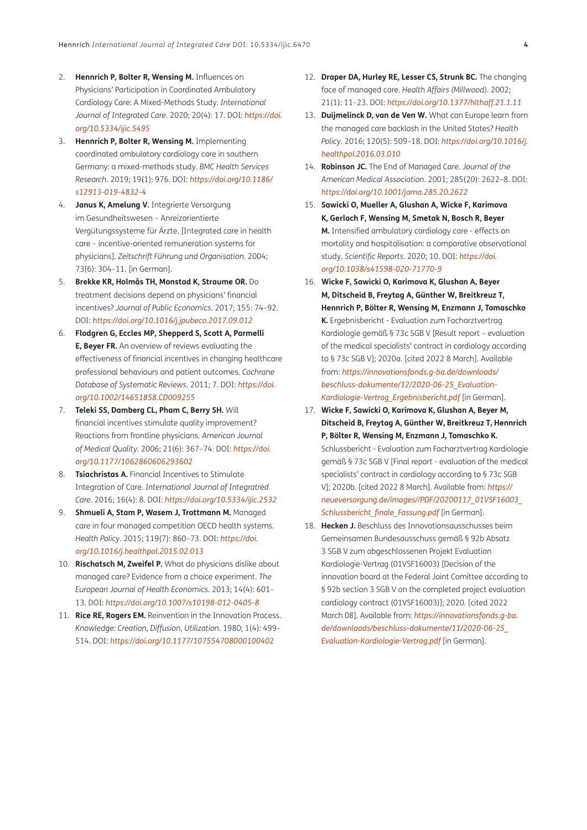- <span id="page-3-0"></span>2. **Hennrich P, Bolter R, Wensing M.** Influences on Physicians' Participation in Coordinated Ambulatory Cardiology Care: A Mixed-Methods Study. *International Journal of Integrated Care*. 2020; 20(4): 17. DOI: *[https://doi.](https://doi.org/10.5334/ijic.5495) [org/10.5334/ijic.5495](https://doi.org/10.5334/ijic.5495)*
- <span id="page-3-1"></span>3. **Hennrich P, Bolter R, Wensing M.** Implementing coordinated ambulatory cardiology care in southern Germany: a mixed-methods study. *BMC Health Services Research*. 2019; 19(1): 976. DOI: *[https://doi.org/10.1186/](https://doi.org/10.1186/s12913-019-4832-4) [s12913-019-4832-4](https://doi.org/10.1186/s12913-019-4832-4)*
- <span id="page-3-2"></span>4. **Janus K, Amelung V.** Integrierte Versorgung im Gesundheitswesen – Anreizorientierte Vergütungssysteme für Ärzte. [Integrated care in health care – incentive-oriented remuneration systems for physicians]. *Zeitschrift Führung und Organisation*. 2004; 73(6): 304–11. [in German].
- 5. **Brekke KR, Holmås TH, Monstad K, Straume OR.** Do treatment decisions depend on physicians' financial incentives? *Journal of Public Economics*. 2017; 155: 74–92. DOI: *<https://doi.org/10.1016/j.jpubeco.2017.09.012>*
- <span id="page-3-3"></span>6. **Flodgren G, Eccles MP, Shepperd S, Scott A, Parmelli E, Beyer FR.** An overview of reviews evaluating the effectiveness of financial incentives in changing healthcare professional behaviours and patient outcomes. *Cochrane Database of Systematic Reviews*. 2011; 7. DOI: *[https://doi.](https://doi.org/10.1002/14651858.CD009255) [org/10.1002/14651858.CD009255](https://doi.org/10.1002/14651858.CD009255)*
- 7. **Teleki SS, Damberg CL, Pham C, Berry SH.** Will financial incentives stimulate quality improvement? Reactions from frontline physicians. *American Journal of Medical Quality*. 2006; 21(6): 367–74. DOI: *[https://doi.](https://doi.org/10.1177/1062860606293602) [org/10.1177/1062860606293602](https://doi.org/10.1177/1062860606293602)*
- <span id="page-3-4"></span>8. **Tsiachristas A.** Financial Incentives to Stimulate Integration of Care. *International Journal of Integratred Care*. 2016; 16(4): 8. DOI: *<https://doi.org/10.5334/ijic.2532>*
- <span id="page-3-5"></span>9. **Shmueli A, Stam P, Wasem J, Trottmann M.** Managed care in four managed competition OECD health systems. *Health Policy*. 2015; 119(7): 860–73. DOI: *[https://doi.](https://doi.org/10.1016/j.healthpol.2015.02.013) [org/10.1016/j.healthpol.2015.02.013](https://doi.org/10.1016/j.healthpol.2015.02.013)*
- <span id="page-3-6"></span>10. **Rischatsch M, Zweifel P.** What do physicians dislike about managed care? Evidence from a choice experiment. *The European Journal of Health Economics*. 2013; 14(4): 601– 13. DOI: *<https://doi.org/10.1007/s10198-012-0405-8>*
- <span id="page-3-7"></span>11. **Rice RE, Rogers EM.** Reinvention in the Innovation Process. *Knowledge: Creation, Diffusion, Utilization*. 1980; 1(4): 499– 514. DOI: *<https://doi.org/10.1177/107554708000100402>*
- 12. **Draper DA, Hurley RE, Lesser CS, Strunk BC.** The changing face of managed care. *Health Affairs (Millwood)*. 2002; 21(1): 11–23. DOI: *<https://doi.org/10.1377/hlthaff.21.1.11>*
- 13. **Duijmelinck D, van de Ven W.** What can Europe learn from the managed care backlash in the United States? *Health Policy*. 2016; 120(5): 509–18. DOI: *[https://doi.org/10.1016/j.](https://doi.org/10.1016/j.healthpol.2016.03.010) [healthpol.2016.03.010](https://doi.org/10.1016/j.healthpol.2016.03.010)*
- <span id="page-3-8"></span>14. **Robinson JC.** The End of Managed Care. *Journal of the American Medical Association*. 2001; 285(20): 2622–8. DOI: *<https://doi.org/10.1001/jama.285.20.2622>*
- <span id="page-3-9"></span>15. **Sawicki O, Mueller A, Glushan A, Wicke F, Karimova K, Gerlach F, Wensing M, Smetak N, Bosch R, Beyer M.** Intensified ambulatory cardiology care - effects on mortality and hospitalisation: a comparative observational study. *Scientific Reports*. 2020; 10. DOI: *[https://doi.](https://doi.org/10.1038/s41598-020-71770-9) [org/10.1038/s41598-020-71770-9](https://doi.org/10.1038/s41598-020-71770-9)*
- 16. **Wicke F, Sawicki O, Karimova K, Glushan A, Beyer M, Ditscheid B, Freytag A, Günther W, Breitkreuz T, Hennrich P, Bölter R, Wensing M, Enzmann J, Tomaschko K.** Ergebnisbericht - Evaluation zum Facharztvertrag Kardiologie gemäß § 73c SGB V [Result report – evaluation of the medical specialists' contract in cardiology according to § 73c SGB V]; 2020a. [cited 2022 8 March]. Available from: *[https://innovationsfonds.g-ba.de/downloads/](https://innovationsfonds.g-ba.de/downloads/beschluss-dokumente/12/2020-06-25_Evaluation-Kardiologie-Vertrag_Ergebnisbericht.pdf) [beschluss-dokumente/12/2020-06-25\\_Evaluation-](https://innovationsfonds.g-ba.de/downloads/beschluss-dokumente/12/2020-06-25_Evaluation-Kardiologie-Vertrag_Ergebnisbericht.pdf)[Kardiologie-Vertrag\\_Ergebnisbericht.pdf](https://innovationsfonds.g-ba.de/downloads/beschluss-dokumente/12/2020-06-25_Evaluation-Kardiologie-Vertrag_Ergebnisbericht.pdf)* [in German].
- 17. **Wicke F, Sawicki O, Karimova K, Glushan A, Beyer M, Ditscheid B, Freytag A, Günther W, Breitkreuz T, Hennrich P, Bölter R, Wensing M, Enzmann J, Tomaschko K.** Schlussbericht - Evaluation zum Facharztvertrag Kardiologie gemäß § 73c SGB V [Final report - evaluation of the medical specialists' contract in cardiology according to § 73c SGB V]; 2020b. [cited 2022 8 March]. Available from: *[https://](https://neueversorgung.de/images//PDF/20200117_01VSF16003_Schlussbericht_finale_Fassung.pdf) [neueversorgung.de/images//PDF/20200117\\_01VSF16003\\_](https://neueversorgung.de/images//PDF/20200117_01VSF16003_Schlussbericht_finale_Fassung.pdf) [Schlussbericht\\_finale\\_Fassung.pdf](https://neueversorgung.de/images//PDF/20200117_01VSF16003_Schlussbericht_finale_Fassung.pdf)* [in German].
- <span id="page-3-10"></span>18. **Hecken J.** Beschluss des Innovationsausschusses beim Gemeinsamen Bundesausschuss gemäß § 92b Absatz 3 SGB V zum abgeschlossenen Projekt Evaluation Kardiologie-Vertrag (01VSF16003) [Decision of the innovation board at the Federal Joint Comittee according to § 92b section 3 SGB V on the completed project evaluation cardiology contract (01VSF16003)]; 2020. [cited 2022 March 08]. Available from: *[https://innovationsfonds.g-ba.](https://innovationsfonds.g-ba.de/downloads/beschluss-dokumente/11/2020-06-25_Evaluation-Kardiologie-Vertrag.pdf) [de/downloads/beschluss-dokumente/11/2020-06-25\\_](https://innovationsfonds.g-ba.de/downloads/beschluss-dokumente/11/2020-06-25_Evaluation-Kardiologie-Vertrag.pdf) [Evaluation-Kardiologie-Vertrag.pdf](https://innovationsfonds.g-ba.de/downloads/beschluss-dokumente/11/2020-06-25_Evaluation-Kardiologie-Vertrag.pdf)* [in German].